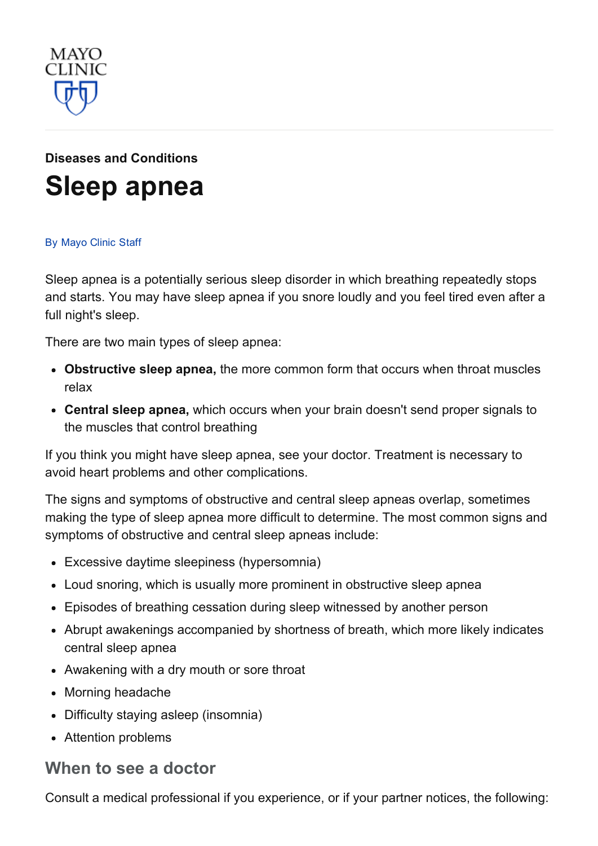

# Diseases and [Conditions](http://www.mayoclinic.org/diseases-conditions) Sleep [apnea](http://www.mayoclinic.org/diseases-conditions/sleep-apnea/basics/definition/con-20020286)

#### By [Mayo](http://www.mayoclinic.org/about-this-site/welcome) Clinic Staff

Sleep apnea is a potentially serious sleep disorder in which breathing repeatedly stops and starts. You may have sleep apnea if you snore loudly and you feel tired even after a full night's sleep.

There are two main types of sleep apnea:

- Obstructive sleep apnea, the more common form that occurs when throat muscles relax
- Central sleep apnea, which occurs when your brain doesn't send proper signals to the muscles that control breathing

If you think you might have sleep apnea, see your doctor. Treatment is necessary to avoid heart problems and other complications.

The signs and symptoms of obstructive and central sleep apneas overlap, sometimes making the type of sleep apnea more difficult to determine. The most common signs and symptoms of obstructive and central sleep apneas include:

- Excessive daytime sleepiness (hypersomnia)
- Loud snoring, which is usually more prominent in obstructive sleep apnea
- Episodes of breathing cessation during sleep witnessed by another person
- Abrupt awakenings accompanied by shortness of breath, which more likely indicates central sleep apnea
- Awakening with a dry mouth or sore throat
- Morning headache
- Difficulty staying asleep (insomnia)
- Attention problems

#### When to see a doctor

Consult a medical professional if you experience, or if your partner notices, the following: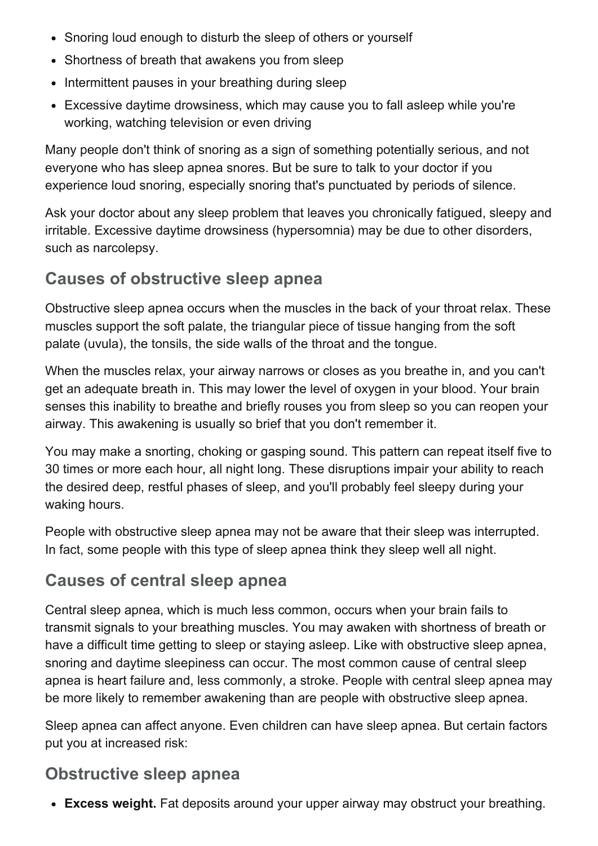- Snoring loud enough to disturb the sleep of others or yourself
- Shortness of breath that awakens you from sleep
- Intermittent pauses in your breathing during sleep
- Excessive daytime drowsiness, which may cause you to fall asleep while you're working, watching television or even driving

Many people don't think of snoring as a sign of something potentially serious, and not everyone who has sleep apnea snores. But be sure to talk to your doctor if you experience loud snoring, especially snoring that's punctuated by periods of silence.

Ask your doctor about any sleep problem that leaves you chronically fatigued, sleepy and irritable. Excessive daytime drowsiness (hypersomnia) may be due to other disorders, such as narcolepsy.

### Causes of obstructive sleep apnea

Obstructive sleep apnea occurs when the muscles in the back of your throat relax. These muscles support the soft palate, the triangular piece of tissue hanging from the soft palate (uvula), the tonsils, the side walls of the throat and the tongue.

When the muscles relax, your airway narrows or closes as you breathe in, and you can't get an adequate breath in. This may lower the level of oxygen in your blood. Your brain senses this inability to breathe and briefly rouses you from sleep so you can reopen your airway. This awakening is usually so brief that you don't remember it.

You may make a snorting, choking or gasping sound. This pattern can repeat itself five to 30 times or more each hour, all night long. These disruptions impair your ability to reach the desired deep, restful phases of sleep, and you'll probably feel sleepy during your waking hours.

People with obstructive sleep apnea may not be aware that their sleep was interrupted. In fact, some people with this type of sleep apnea think they sleep well all night.

#### Causes of central sleep apnea

Central sleep apnea, which is much less common, occurs when your brain fails to transmit signals to your breathing muscles. You may awaken with shortness of breath or have a difficult time getting to sleep or staying asleep. Like with obstructive sleep apnea, snoring and daytime sleepiness can occur. The most common cause of central sleep apnea is heart failure and, less commonly, a stroke. People with central sleep apnea may be more likely to remember awakening than are people with obstructive sleep apnea.

Sleep apnea can affect anyone. Even children can have sleep apnea. But certain factors put you at increased risk:

### Obstructive sleep apnea

• Excess weight. Fat deposits around your upper airway may obstruct your breathing.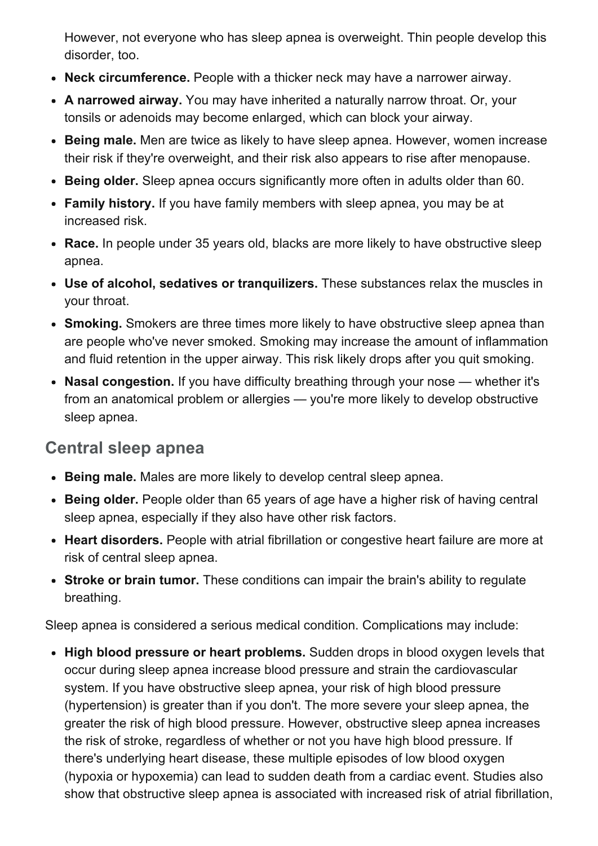However, not everyone who has sleep apnea is overweight. Thin people develop this disorder, too.

- Neck circumference. People with a thicker neck may have a narrower airway.
- A narrowed airway. You may have inherited a naturally narrow throat. Or, your tonsils or adenoids may become enlarged, which can block your airway.
- Being male. Men are twice as likely to have sleep apnea. However, women increase their risk if they're overweight, and their risk also appears to rise after menopause.
- Being older. Sleep apnea occurs significantly more often in adults older than 60.
- Family history. If you have family members with sleep apnea, you may be at increased risk.
- Race. In people under 35 years old, blacks are more likely to have obstructive sleep apnea.
- Use of alcohol, sedatives or tranquilizers. These substances relax the muscles in your throat.
- Smoking. Smokers are three times more likely to have obstructive sleep apnea than are people who've never smoked. Smoking may increase the amount of inflammation and fluid retention in the upper airway. This risk likely drops after you quit smoking.
- Nasal congestion. If you have difficulty breathing through your nose whether it's from an anatomical problem or allergies — you're more likely to develop obstructive sleep apnea.

#### Central sleep apnea

- Being male. Males are more likely to develop central sleep apnea.
- Being older. People older than 65 years of age have a higher risk of having central sleep apnea, especially if they also have other risk factors.
- Heart disorders. People with atrial fibrillation or congestive heart failure are more at risk of central sleep apnea.
- Stroke or brain tumor. These conditions can impair the brain's ability to regulate breathing.

Sleep apnea is considered a serious medical condition. Complications may include:

• High blood pressure or heart problems. Sudden drops in blood oxygen levels that occur during sleep apnea increase blood pressure and strain the cardiovascular system. If you have obstructive sleep apnea, your risk of high blood pressure (hypertension) is greater than if you don't. The more severe your sleep apnea, the greater the risk of high blood pressure. However, obstructive sleep apnea increases the risk of stroke, regardless of whether or not you have high blood pressure. If there's underlying heart disease, these multiple episodes of low blood oxygen (hypoxia or hypoxemia) can lead to sudden death from a cardiac event. Studies also show that obstructive sleep apnea is associated with increased risk of atrial fibrillation,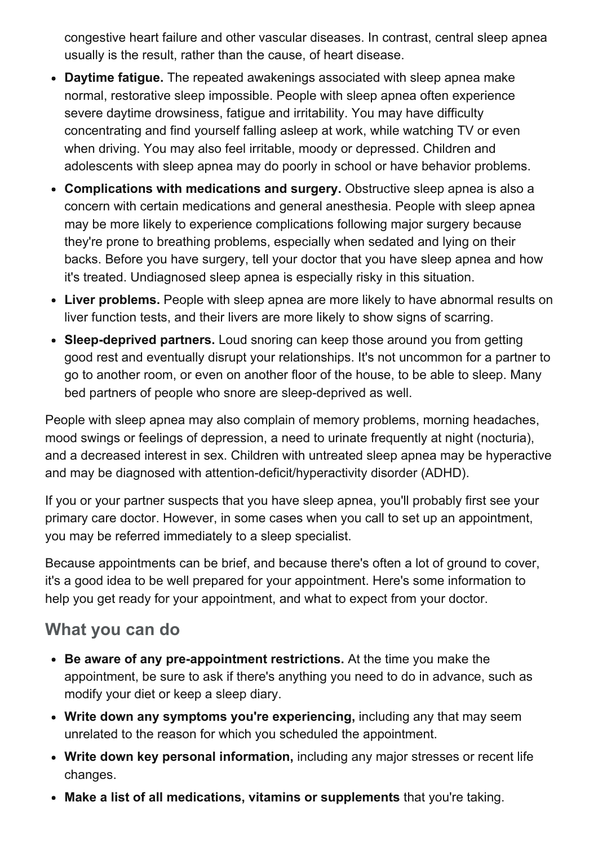congestive heart failure and other vascular diseases. In contrast, central sleep apnea usually is the result, rather than the cause, of heart disease.

- Daytime fatigue. The repeated awakenings associated with sleep apnea make normal, restorative sleep impossible. People with sleep apnea often experience severe daytime drowsiness, fatigue and irritability. You may have difficulty concentrating and find yourself falling asleep at work, while watching TV or even when driving. You may also feel irritable, moody or depressed. Children and adolescents with sleep apnea may do poorly in school or have behavior problems.
- Complications with medications and surgery. Obstructive sleep apnea is also a concern with certain medications and general anesthesia. People with sleep apnea may be more likely to experience complications following major surgery because they're prone to breathing problems, especially when sedated and lying on their backs. Before you have surgery, tell your doctor that you have sleep apnea and how it's treated. Undiagnosed sleep apnea is especially risky in this situation.
- Liver problems. People with sleep apnea are more likely to have abnormal results on liver function tests, and their livers are more likely to show signs of scarring.
- Sleep-deprived partners. Loud snoring can keep those around you from getting good rest and eventually disrupt your relationships. It's not uncommon for a partner to go to another room, or even on another floor of the house, to be able to sleep. Many bed partners of people who snore are sleep-deprived as well.

People with sleep apnea may also complain of memory problems, morning headaches, mood swings or feelings of depression, a need to urinate frequently at night (nocturia), and a decreased interest in sex. Children with untreated sleep apnea may be hyperactive and may be diagnosed with attention-deficit/hyperactivity disorder (ADHD).

If you or your partner suspects that you have sleep apnea, you'll probably first see your primary care doctor. However, in some cases when you call to set up an appointment, you may be referred immediately to a sleep specialist.

Because appointments can be brief, and because there's often a lot of ground to cover, it's a good idea to be well prepared for your appointment. Here's some information to help you get ready for your appointment, and what to expect from your doctor.

### What you can do

- Be aware of any pre-appointment restrictions. At the time you make the appointment, be sure to ask if there's anything you need to do in advance, such as modify your diet or keep a sleep diary.
- Write down any symptoms you're experiencing, including any that may seem unrelated to the reason for which you scheduled the appointment.
- Write down key personal information, including any major stresses or recent life changes.
- Make a list of all medications, vitamins or supplements that you're taking.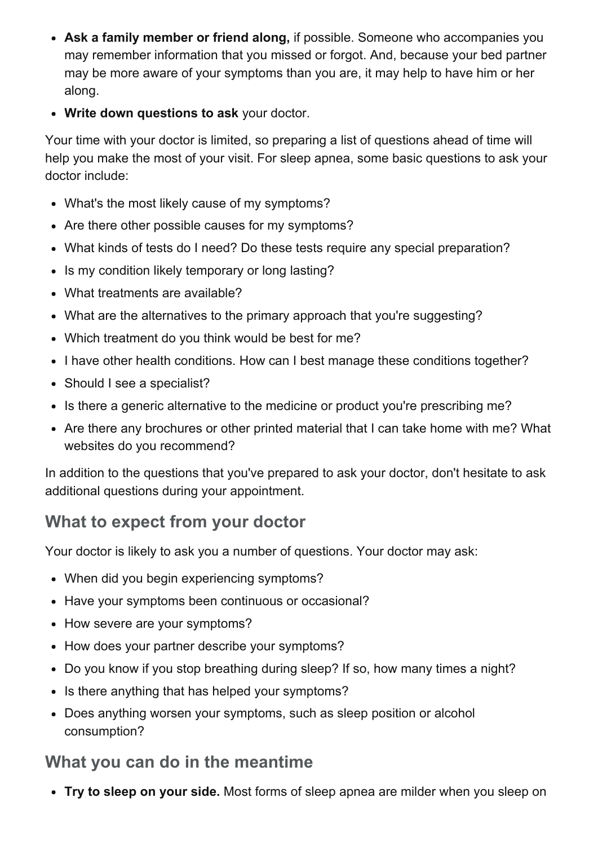- Ask a family member or friend along, if possible. Someone who accompanies you may remember information that you missed or forgot. And, because your bed partner may be more aware of your symptoms than you are, it may help to have him or her along.
- Write down questions to ask your doctor.

Your time with your doctor is limited, so preparing a list of questions ahead of time will help you make the most of your visit. For sleep apnea, some basic questions to ask your doctor include:

- What's the most likely cause of my symptoms?
- Are there other possible causes for my symptoms?
- What kinds of tests do I need? Do these tests require any special preparation?
- Is my condition likely temporary or long lasting?
- What treatments are available?
- What are the alternatives to the primary approach that you're suggesting?
- Which treatment do you think would be best for me?
- I have other health conditions. How can I best manage these conditions together?
- Should I see a specialist?
- Is there a generic alternative to the medicine or product you're prescribing me?
- Are there any brochures or other printed material that I can take home with me? What websites do you recommend?

In addition to the questions that you've prepared to ask your doctor, don't hesitate to ask additional questions during your appointment.

## What to expect from your doctor

Your doctor is likely to ask you a number of questions. Your doctor may ask:

- When did you begin experiencing symptoms?
- Have your symptoms been continuous or occasional?
- How severe are your symptoms?
- How does your partner describe your symptoms?
- Do you know if you stop breathing during sleep? If so, how many times a night?
- Is there anything that has helped your symptoms?
- Does anything worsen your symptoms, such as sleep position or alcohol consumption?

### What you can do in the meantime

• Try to sleep on your side. Most forms of sleep apnea are milder when you sleep on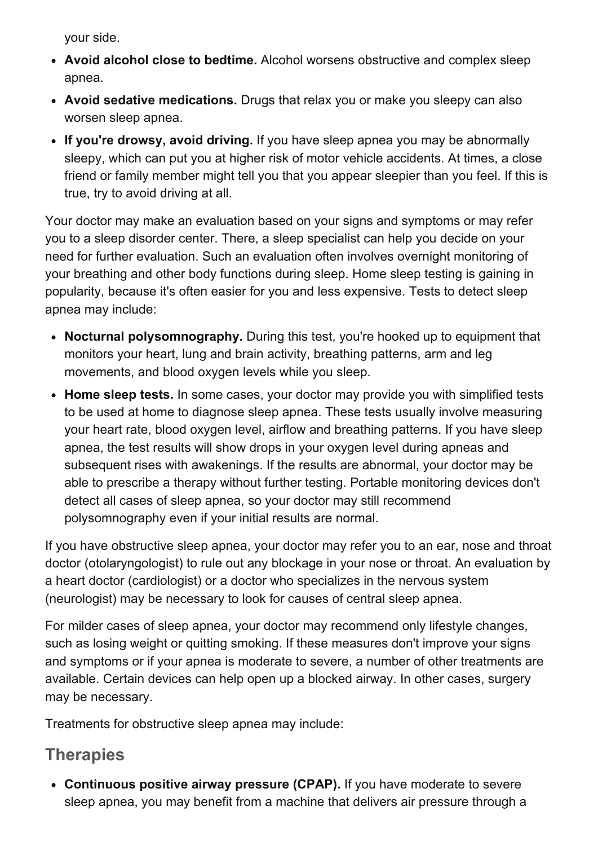your side.

- Avoid alcohol close to bedtime. Alcohol worsens obstructive and complex sleep apnea.
- Avoid sedative medications. Drugs that relax you or make you sleepy can also worsen sleep apnea.
- If you're drowsy, avoid driving. If you have sleep apnea you may be abnormally sleepy, which can put you at higher risk of motor vehicle accidents. At times, a close friend or family member might tell you that you appear sleepier than you feel. If this is true, try to avoid driving at all.

Your doctor may make an evaluation based on your signs and symptoms or may refer you to a sleep disorder center. There, a sleep specialist can help you decide on your need for further evaluation. Such an evaluation often involves overnight monitoring of your breathing and other body functions during sleep. Home sleep testing is gaining in popularity, because it's often easier for you and less expensive. Tests to detect sleep apnea may include:

- Nocturnal polysomnography. During this test, you're hooked up to equipment that monitors your heart, lung and brain activity, breathing patterns, arm and leg movements, and blood oxygen levels while you sleep.
- Home sleep tests. In some cases, your doctor may provide you with simplified tests to be used at home to diagnose sleep apnea. These tests usually involve measuring your heart rate, blood oxygen level, airflow and breathing patterns. If you have sleep apnea, the test results will show drops in your oxygen level during apneas and subsequent rises with awakenings. If the results are abnormal, your doctor may be able to prescribe a therapy without further testing. Portable monitoring devices don't detect all cases of sleep apnea, so your doctor may still recommend polysomnography even if your initial results are normal.

If you have obstructive sleep apnea, your doctor may refer you to an ear, nose and throat doctor (otolaryngologist) to rule out any blockage in your nose or throat. An evaluation by a heart doctor (cardiologist) or a doctor who specializes in the nervous system (neurologist) may be necessary to look for causes of central sleep apnea.

For milder cases of sleep apnea, your doctor may recommend only lifestyle changes, such as losing weight or quitting smoking. If these measures don't improve your signs and symptoms or if your apnea is moderate to severe, a number of other treatments are available. Certain devices can help open up a blocked airway. In other cases, surgery may be necessary.

Treatments for obstructive sleep apnea may include:

### **Therapies**

Continuous positive airway pressure (CPAP). If you have moderate to severe sleep apnea, you may benefit from a machine that delivers air pressure through a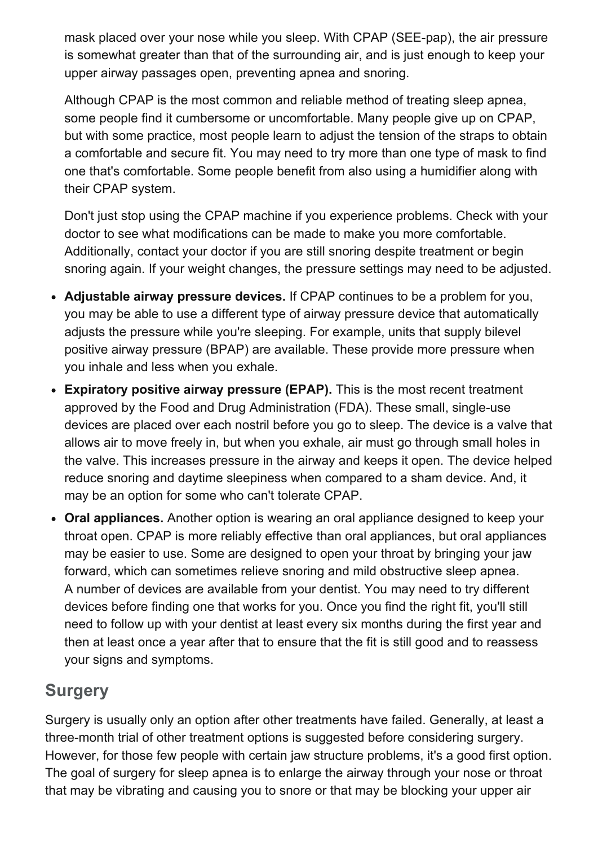mask placed over your nose while you sleep. With CPAP (SEE-pap), the air pressure is somewhat greater than that of the surrounding air, and is just enough to keep your upper airway passages open, preventing apnea and snoring.

Although CPAP is the most common and reliable method of treating sleep apnea, some people find it cumbersome or uncomfortable. Many people give up on CPAP, but with some practice, most people learn to adjust the tension of the straps to obtain a comfortable and secure fit. You may need to try more than one type of mask to find one that's comfortable. Some people benefit from also using a humidifier along with their CPAP system.

Don't just stop using the CPAP machine if you experience problems. Check with your doctor to see what modifications can be made to make you more comfortable. Additionally, contact your doctor if you are still snoring despite treatment or begin snoring again. If your weight changes, the pressure settings may need to be adjusted.

- Adjustable airway pressure devices. If CPAP continues to be a problem for you, you may be able to use a different type of airway pressure device that automatically adjusts the pressure while you're sleeping. For example, units that supply bilevel positive airway pressure (BPAP) are available. These provide more pressure when you inhale and less when you exhale.
- Expiratory positive airway pressure (EPAP). This is the most recent treatment approved by the Food and Drug Administration (FDA). These small, single-use devices are placed over each nostril before you go to sleep. The device is a valve that allows air to move freely in, but when you exhale, air must go through small holes in the valve. This increases pressure in the airway and keeps it open. The device helped reduce snoring and daytime sleepiness when compared to a sham device. And, it may be an option for some who can't tolerate CPAP.
- Oral appliances. Another option is wearing an oral appliance designed to keep your throat open. CPAP is more reliably effective than oral appliances, but oral appliances may be easier to use. Some are designed to open your throat by bringing your jaw forward, which can sometimes relieve snoring and mild obstructive sleep apnea. A number of devices are available from your dentist. You may need to try different devices before finding one that works for you. Once you find the right fit, you'll still need to follow up with your dentist at least every six months during the first year and then at least once a year after that to ensure that the fit is still good and to reassess your signs and symptoms.

# **Surgery**

Surgery is usually only an option after other treatments have failed. Generally, at least a three-month trial of other treatment options is suggested before considering surgery. However, for those few people with certain jaw structure problems, it's a good first option. The goal of surgery for sleep apnea is to enlarge the airway through your nose or throat that may be vibrating and causing you to snore or that may be blocking your upper air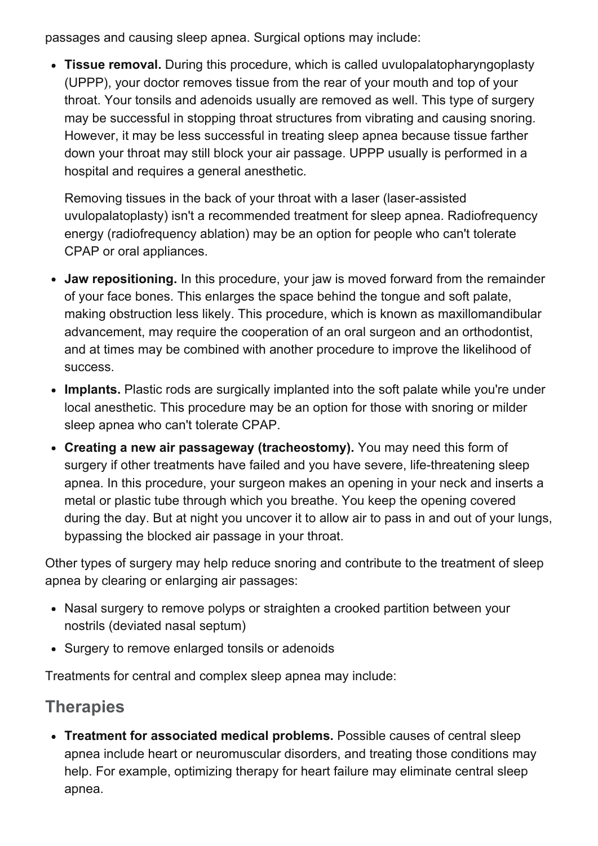passages and causing sleep apnea. Surgical options may include:

• Tissue removal. During this procedure, which is called uvulopalatopharyngoplasty (UPPP), your doctor removes tissue from the rear of your mouth and top of your throat. Your tonsils and adenoids usually are removed as well. This type of surgery may be successful in stopping throat structures from vibrating and causing snoring. However, it may be less successful in treating sleep apnea because tissue farther down your throat may still block your air passage. UPPP usually is performed in a hospital and requires a general anesthetic.

Removing tissues in the back of your throat with a laser (laser-assisted uvulopalatoplasty) isn't a recommended treatment for sleep apnea. Radiofrequency energy (radiofrequency ablation) may be an option for people who can't tolerate CPAP or oral appliances.

- Jaw repositioning. In this procedure, your jaw is moved forward from the remainder of your face bones. This enlarges the space behind the tongue and soft palate, making obstruction less likely. This procedure, which is known as maxillomandibular advancement, may require the cooperation of an oral surgeon and an orthodontist, and at times may be combined with another procedure to improve the likelihood of success.
- Implants. Plastic rods are surgically implanted into the soft palate while you're under local anesthetic. This procedure may be an option for those with snoring or milder sleep apnea who can't tolerate CPAP.
- Creating a new air passageway (tracheostomy). You may need this form of surgery if other treatments have failed and you have severe, life-threatening sleep apnea. In this procedure, your surgeon makes an opening in your neck and inserts a metal or plastic tube through which you breathe. You keep the opening covered during the day. But at night you uncover it to allow air to pass in and out of your lungs, bypassing the blocked air passage in your throat.

Other types of surgery may help reduce snoring and contribute to the treatment of sleep apnea by clearing or enlarging air passages:

- Nasal surgery to remove polyps or straighten a crooked partition between your nostrils (deviated nasal septum)
- Surgery to remove enlarged tonsils or adenoids

Treatments for central and complex sleep apnea may include:

### **Therapies**

Treatment for associated medical problems. Possible causes of central sleep apnea include heart or neuromuscular disorders, and treating those conditions may help. For example, optimizing therapy for heart failure may eliminate central sleep apnea.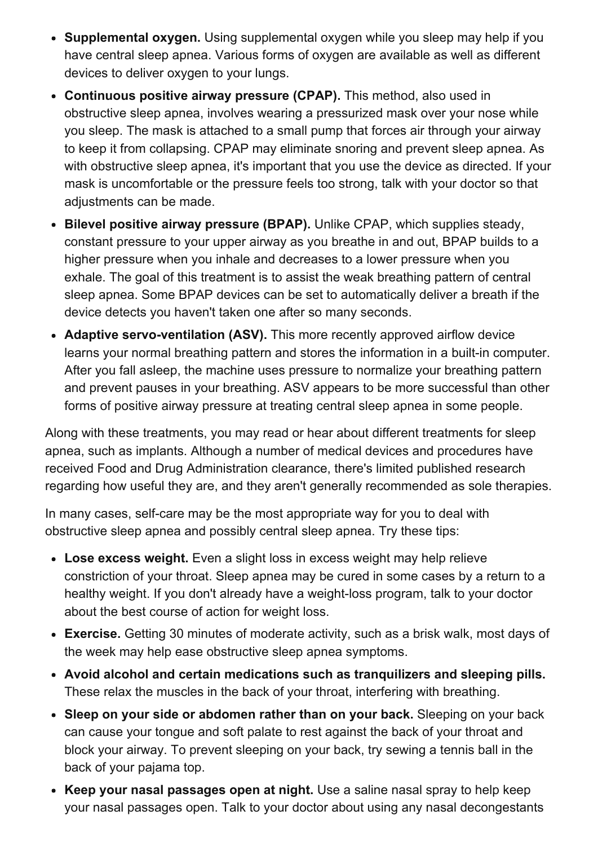- Supplemental oxygen. Using supplemental oxygen while you sleep may help if you have central sleep apnea. Various forms of oxygen are available as well as different devices to deliver oxygen to your lungs.
- Continuous positive airway pressure (CPAP). This method, also used in obstructive sleep apnea, involves wearing a pressurized mask over your nose while you sleep. The mask is attached to a small pump that forces air through your airway to keep it from collapsing. CPAP may eliminate snoring and prevent sleep apnea. As with obstructive sleep apnea, it's important that you use the device as directed. If your mask is uncomfortable or the pressure feels too strong, talk with your doctor so that adjustments can be made.
- Bilevel positive airway pressure (BPAP). Unlike CPAP, which supplies steady, constant pressure to your upper airway as you breathe in and out, BPAP builds to a higher pressure when you inhale and decreases to a lower pressure when you exhale. The goal of this treatment is to assist the weak breathing pattern of central sleep apnea. Some BPAP devices can be set to automatically deliver a breath if the device detects you haven't taken one after so many seconds.
- Adaptive servo-ventilation (ASV). This more recently approved airflow device learns your normal breathing pattern and stores the information in a built-in computer. After you fall asleep, the machine uses pressure to normalize your breathing pattern and prevent pauses in your breathing. ASV appears to be more successful than other forms of positive airway pressure at treating central sleep apnea in some people.

Along with these treatments, you may read or hear about different treatments for sleep apnea, such as implants. Although a number of medical devices and procedures have received Food and Drug Administration clearance, there's limited published research regarding how useful they are, and they aren't generally recommended as sole therapies.

In many cases, self-care may be the most appropriate way for you to deal with obstructive sleep apnea and possibly central sleep apnea. Try these tips:

- Lose excess weight. Even a slight loss in excess weight may help relieve constriction of your throat. Sleep apnea may be cured in some cases by a return to a healthy weight. If you don't already have a weight-loss program, talk to your doctor about the best course of action for weight loss.
- Exercise. Getting 30 minutes of moderate activity, such as a brisk walk, most days of the week may help ease obstructive sleep apnea symptoms.
- Avoid alcohol and certain medications such as tranquilizers and sleeping pills. These relax the muscles in the back of your throat, interfering with breathing.
- Sleep on your side or abdomen rather than on your back. Sleeping on your back can cause your tongue and soft palate to rest against the back of your throat and block your airway. To prevent sleeping on your back, try sewing a tennis ball in the back of your pajama top.
- Keep your nasal passages open at night. Use a saline nasal spray to help keep your nasal passages open. Talk to your doctor about using any nasal decongestants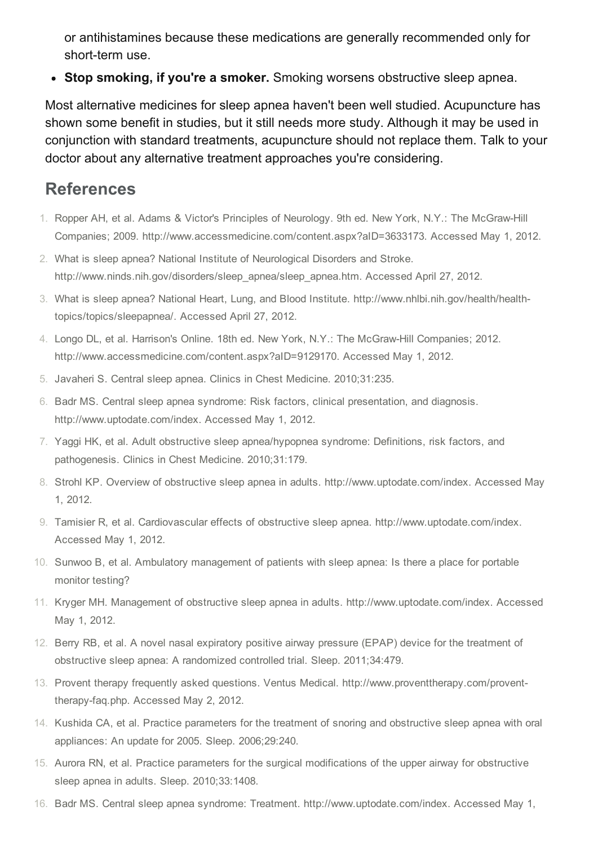or antihistamines because these medications are generally recommended only for short-term use.

• Stop smoking, if you're a smoker. Smoking worsens obstructive sleep apnea.

Most alternative medicines for sleep apnea haven't been well studied. Acupuncture has shown some benefit in studies, but it still needs more study. Although it may be used in conjunction with standard treatments, acupuncture should not replace them. Talk to your doctor about any alternative treatment approaches you're considering.

#### References

- 1. Ropper AH, et al. Adams & Victor's Principles of Neurology. 9th ed. New York, N.Y.: The McGraw-Hill Companies; 2009. http://www.accessmedicine.com/content.aspx?aID=3633173. Accessed May 1, 2012.
- 2. What is sleep apnea? National Institute of Neurological Disorders and Stroke. http://www.ninds.nih.gov/disorders/sleep\_apnea/sleep\_apnea.htm. Accessed April 27, 2012.
- 3. What is sleep apnea? National Heart, Lung, and Blood Institute. http://www.nhlbi.nih.gov/health/healthtopics/topics/sleepapnea/. Accessed April 27, 2012.
- 4. Longo DL, et al. Harrison's Online. 18th ed. New York, N.Y.: The McGraw-Hill Companies; 2012. http://www.accessmedicine.com/content.aspx?aID=9129170. Accessed May 1, 2012.
- 5. Javaheri S. Central sleep apnea. Clinics in Chest Medicine. 2010;31:235.
- 6. Badr MS. Central sleep apnea syndrome: Risk factors, clinical presentation, and diagnosis. http://www.uptodate.com/index. Accessed May 1, 2012.
- 7. Yaggi HK, et al. Adult obstructive sleep apnea/hypopnea syndrome: Definitions, risk factors, and pathogenesis. Clinics in Chest Medicine. 2010;31:179.
- 8. Strohl KP. Overview of obstructive sleep apnea in adults. http://www.uptodate.com/index. Accessed May 1, 2012.
- 9. Tamisier R, et al. Cardiovascular effects of obstructive sleep apnea. http://www.uptodate.com/index. Accessed May 1, 2012.
- 10. Sunwoo B, et al. Ambulatory management of patients with sleep apnea: Is there a place for portable monitor testing?
- 11. Kryger MH. Management of obstructive sleep apnea in adults. http://www.uptodate.com/index. Accessed May 1, 2012.
- 12. Berry RB, et al. A novel nasal expiratory positive airway pressure (EPAP) device for the treatment of obstructive sleep apnea: A randomized controlled trial. Sleep. 2011;34:479.
- 13. Provent therapy frequently asked questions. Ventus Medical. http://www.proventtherapy.com/proventtherapy-faq.php. Accessed May 2, 2012.
- 14. Kushida CA, et al. Practice parameters for the treatment of snoring and obstructive sleep apnea with oral appliances: An update for 2005. Sleep. 2006;29:240.
- 15. Aurora RN, et al. Practice parameters for the surgical modifications of the upper airway for obstructive sleep apnea in adults. Sleep. 2010;33:1408.
- 16. Badr MS. Central sleep apnea syndrome: Treatment. http://www.uptodate.com/index. Accessed May 1,